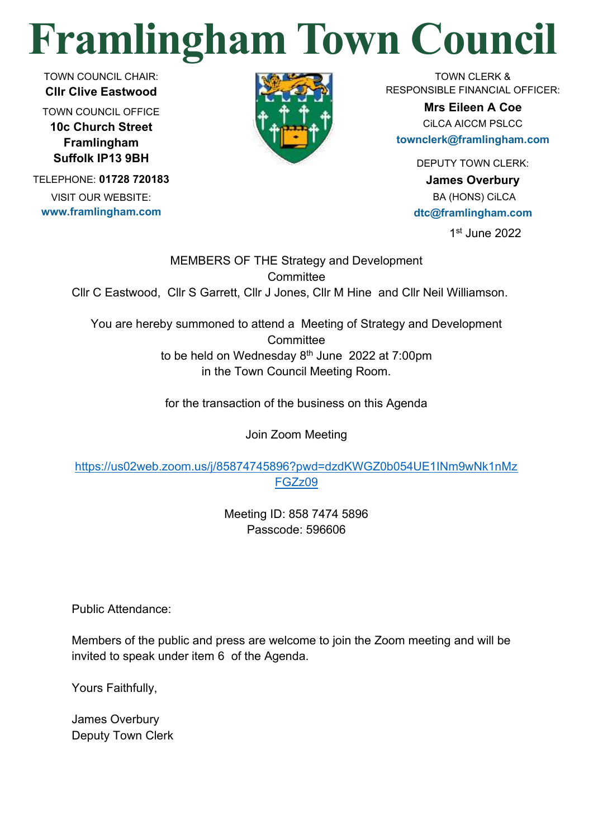## **Framlingham Town Council**

TOWN COUNCIL CHAIR: **Cllr Clive Eastwood**

TOWN COUNCIL OFFICE **10c Church Street Framlingham Suffolk IP13 9BH**

TELEPHONE: **01728 720183** VISIT OUR WEBSITE: **www.framlingham.com**



TOWN CLERK & RESPONSIBLE FINANCIAL OFFICER:

> **Mrs Eileen A Coe** CiLCA AICCM PSLCC

**townclerk@framlingham.com**

DEPUTY TOWN CLERK:

**James Overbury** BA (HONS) CiLCA **dtc@framlingham.com**

1 st June 2022

MEMBERS OF THE Strategy and Development **Committee** Cllr C Eastwood, Cllr S Garrett, Cllr J Jones, Cllr M Hine and Cllr Neil Williamson.

You are hereby summoned to attend a Meeting of Strategy and Development **Committee** to be held on Wednesday  $8<sup>th</sup>$  June 2022 at 7:00pm in the Town Council Meeting Room.

for the transaction of the business on this Agenda

Join Zoom Meeting

[https://us02web.zoom.us/j/85874745896?pwd=dzdKWGZ0b054UE1INm9wNk1nMz](https://us02web.zoom.us/j/85874745896?pwd=dzdKWGZ0b054UE1INm9wNk1nMzFGZz09) [FGZz09](https://us02web.zoom.us/j/85874745896?pwd=dzdKWGZ0b054UE1INm9wNk1nMzFGZz09)

> Meeting ID: 858 7474 5896 Passcode: 596606

Public Attendance:

Members of the public and press are welcome to join the Zoom meeting and will be invited to speak under item 6 of the Agenda.

Yours Faithfully,

James Overbury Deputy Town Clerk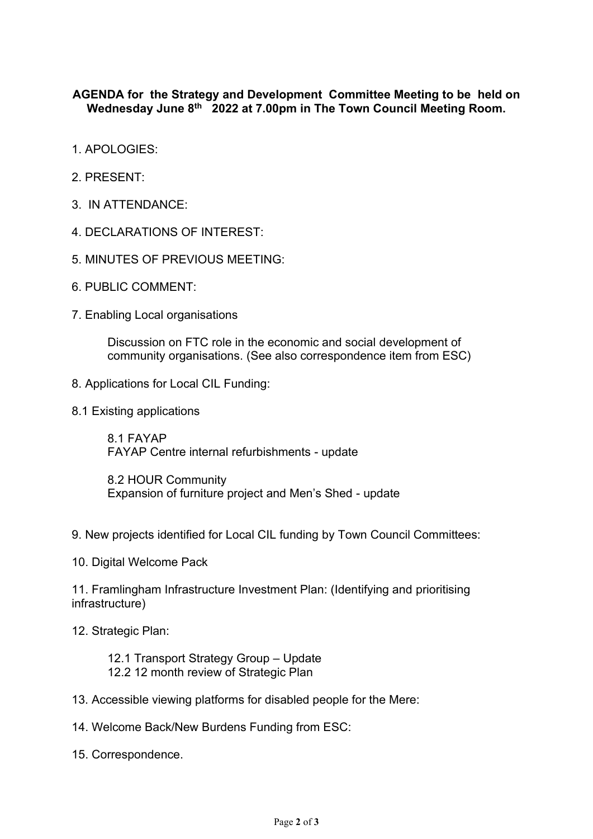## **AGENDA for the Strategy and Development Committee Meeting to be held on Wednesday June 8th 2022 at 7.00pm in The Town Council Meeting Room.**

- 1. APOLOGIES:
- 2. PRESENT:
- 3. IN ATTENDANCE:
- 4. DECLARATIONS OF INTEREST:
- 5. MINUTES OF PREVIOUS MEETING:
- 6. PUBLIC COMMENT:
- 7. Enabling Local organisations

Discussion on FTC role in the economic and social development of community organisations. (See also correspondence item from ESC)

- 8. Applications for Local CIL Funding:
- 8.1 Existing applications

8.1 FAYAP FAYAP Centre internal refurbishments - update

8.2 HOUR Community Expansion of furniture project and Men's Shed - update

- 9. New projects identified for Local CIL funding by Town Council Committees:
- 10. Digital Welcome Pack

11. Framlingham Infrastructure Investment Plan: (Identifying and prioritising infrastructure)

12. Strategic Plan:

12.1 Transport Strategy Group – Update 12.2 12 month review of Strategic Plan

- 13. Accessible viewing platforms for disabled people for the Mere:
- 14. Welcome Back/New Burdens Funding from ESC:
- 15. Correspondence.